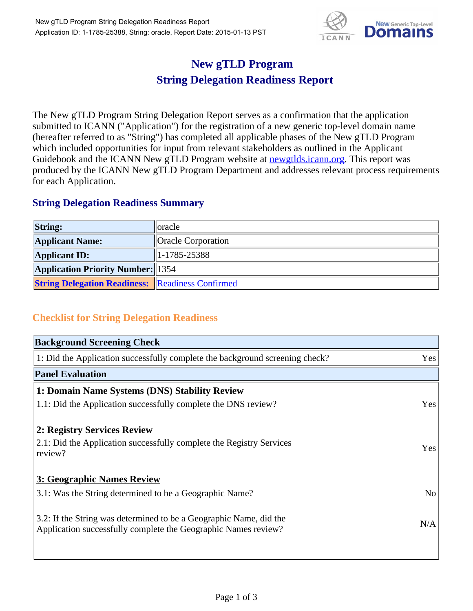

## **New gTLD Program String Delegation Readiness Report**

The New gTLD Program String Delegation Report serves as a confirmation that the application submitted to ICANN ("Application") for the registration of a new generic top-level domain name (hereafter referred to as "String") has completed all applicable phases of the New gTLD Program which included opportunities for input from relevant stakeholders as outlined in the Applicant Guidebook and the ICANN New gTLD Program website at newgtlds.icann.org. This report was produced by the ICANN New gTLD Program Department and addresses relevant process requirements for each Application.

## **String Delegation Readiness Summary**

| <b>String:</b>                                          | ∥oracle                   |
|---------------------------------------------------------|---------------------------|
| <b>Applicant Name:</b>                                  | <b>Oracle Corporation</b> |
| <b>Applicant ID:</b>                                    | 1-1785-25388              |
| <b>Application Priority Number:</b> 1354                |                           |
| <b>String Delegation Readiness:</b> Readiness Confirmed |                           |

## **Checklist for String Delegation Readiness**

| <b>Background Screening Check</b>                                            |                |
|------------------------------------------------------------------------------|----------------|
| 1: Did the Application successfully complete the background screening check? | Yes            |
| <b>Panel Evaluation</b>                                                      |                |
| 1: Domain Name Systems (DNS) Stability Review                                |                |
| 1.1: Did the Application successfully complete the DNS review?               | Yes            |
| 2: Registry Services Review                                                  |                |
| 2.1: Did the Application successfully complete the Registry Services         | Yes            |
| review?                                                                      |                |
| <b>3: Geographic Names Review</b>                                            |                |
| 3.1: Was the String determined to be a Geographic Name?                      | N <sub>o</sub> |
| 3.2: If the String was determined to be a Geographic Name, did the           |                |
| Application successfully complete the Geographic Names review?               | N/A            |
|                                                                              |                |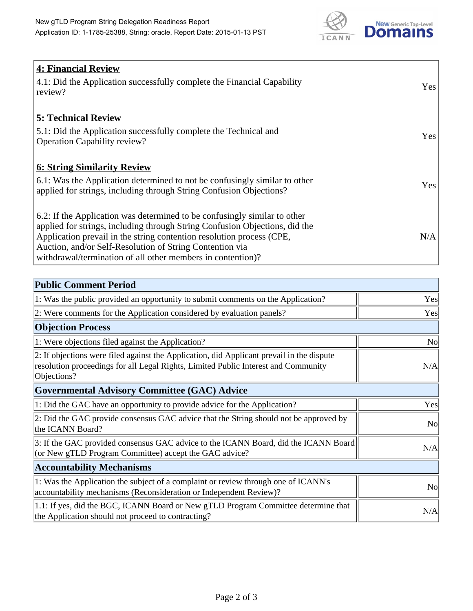

| <b>4: Financial Review</b><br>4.1: Did the Application successfully complete the Financial Capability<br>review?                                                                                                                                                                                                                                             | Yes |
|--------------------------------------------------------------------------------------------------------------------------------------------------------------------------------------------------------------------------------------------------------------------------------------------------------------------------------------------------------------|-----|
| <b>5: Technical Review</b><br>5.1: Did the Application successfully complete the Technical and<br><b>Operation Capability review?</b>                                                                                                                                                                                                                        | Yes |
| <b>6: String Similarity Review</b><br>$\vert$ 6.1: Was the Application determined to not be confusingly similar to other<br>applied for strings, including through String Confusion Objections?                                                                                                                                                              | Yes |
| 6.2: If the Application was determined to be confusingly similar to other<br>applied for strings, including through String Confusion Objections, did the<br>Application prevail in the string contention resolution process (CPE,<br>Auction, and/or Self-Resolution of String Contention via<br>withdrawal/termination of all other members in contention)? | N/A |

| <b>Public Comment Period</b>                                                                                                                                                                   |                |
|------------------------------------------------------------------------------------------------------------------------------------------------------------------------------------------------|----------------|
| 1: Was the public provided an opportunity to submit comments on the Application?                                                                                                               | Yes            |
| 2: Were comments for the Application considered by evaluation panels?                                                                                                                          | Yes            |
| <b>Objection Process</b>                                                                                                                                                                       |                |
| 1: Were objections filed against the Application?                                                                                                                                              | No             |
| 2: If objections were filed against the Application, did Applicant prevail in the dispute<br>resolution proceedings for all Legal Rights, Limited Public Interest and Community<br>Objections? | N/A            |
| <b>Governmental Advisory Committee (GAC) Advice</b>                                                                                                                                            |                |
| 1: Did the GAC have an opportunity to provide advice for the Application?                                                                                                                      | Yes            |
| 2: Did the GAC provide consensus GAC advice that the String should not be approved by<br>the ICANN Board?                                                                                      | N <sub>o</sub> |
| 3: If the GAC provided consensus GAC advice to the ICANN Board, did the ICANN Board<br>(or New gTLD Program Committee) accept the GAC advice?                                                  | N/A            |
| <b>Accountability Mechanisms</b>                                                                                                                                                               |                |
| 1: Was the Application the subject of a complaint or review through one of ICANN's<br>accountability mechanisms (Reconsideration or Independent Review)?                                       | N <sub>o</sub> |
| 1.1: If yes, did the BGC, ICANN Board or New gTLD Program Committee determine that<br>the Application should not proceed to contracting?                                                       | N/A            |